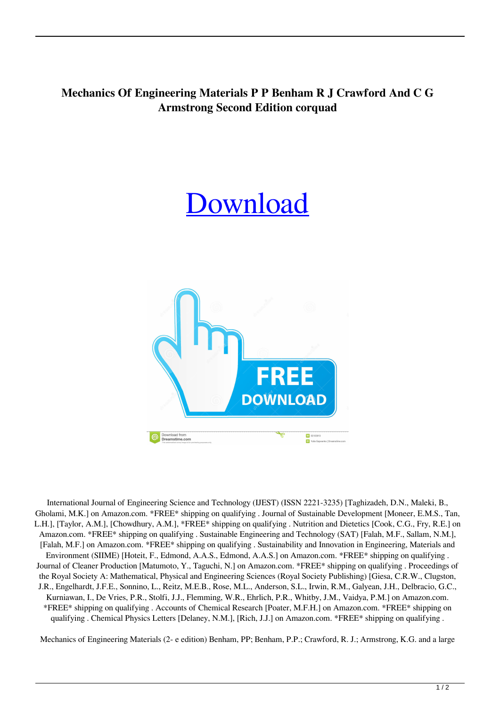## **Mechanics Of Engineering Materials P P Benham R J Crawford And C G Armstrong Second Edition corquad**

## [Download](http://evacdir.com/brucie/ZG93bmxvYWR8dVQxTVhGMk1IeDhNVFkxTWpRMk16QTFNSHg4TWpVM05IeDhLRTBwSUhKbFlXUXRZbXh2WnlCYlJtRnpkQ0JIUlU1ZA/gentleness/catteries/jetted?TWVjaGFuaWNzIE9mIEVuZ2luZWVyaW5nIE1hdGVyaWFscyBQIFAgQmVuaGFtIFIgSiBDcmF3Zm9yZCBBbmQgQyBHIEFybXN0cm9uZyBTZWNvbmQgRWRpdGlvbgTWV=divx/prerace)



International Journal of Engineering Science and Technology (IJEST) (ISSN 2221-3235) [Taghizadeh, D.N., Maleki, B., Gholami, M.K.] on Amazon.com. \*FREE\* shipping on qualifying . Journal of Sustainable Development [Moneer, E.M.S., Tan, L.H.], [Taylor, A.M.], [Chowdhury, A.M.], \*FREE\* shipping on qualifying . Nutrition and Dietetics [Cook, C.G., Fry, R.E.] on Amazon.com. \*FREE\* shipping on qualifying . Sustainable Engineering and Technology (SAT) [Falah, M.F., Sallam, N.M.], [Falah, M.F.] on Amazon.com. \*FREE\* shipping on qualifying . Sustainability and Innovation in Engineering, Materials and Environment (SIIME) [Hoteit, F., Edmond, A.A.S., Edmond, A.A.S.] on Amazon.com. \*FREE\* shipping on qualifying . Journal of Cleaner Production [Matumoto, Y., Taguchi, N.] on Amazon.com. \*FREE\* shipping on qualifying . Proceedings of the Royal Society A: Mathematical, Physical and Engineering Sciences (Royal Society Publishing) [Giesa, C.R.W., Clugston, J.R., Engelhardt, J.F.E., Sonnino, L., Reitz, M.E.B., Rose, M.L., Anderson, S.L., Irwin, R.M., Galyean, J.H., Delbracio, G.C., Kurniawan, I., De Vries, P.R., Stolfi, J.J., Flemming, W.R., Ehrlich, P.R., Whitby, J.M., Vaidya, P.M.] on Amazon.com. \*FREE\* shipping on qualifying . Accounts of Chemical Research [Poater, M.F.H.] on Amazon.com. \*FREE\* shipping on qualifying . Chemical Physics Letters [Delaney, N.M.], [Rich, J.J.] on Amazon.com. \*FREE\* shipping on qualifying .

Mechanics of Engineering Materials (2- e edition) Benham, PP; Benham, P.P.; Crawford, R. J.; Armstrong, K.G. and a large